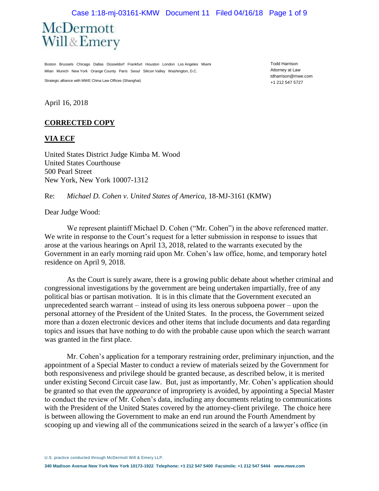#### Case 1:18-mj-03161-KMW Document 11 Filed 04/16/18 Page 1 of 9



Boston Brussels Chicago Dallas Düsseldorf Frankfurt Houston London Los Angeles Miami Milan Munich New York Orange County Paris Seoul Silicon Valley Washington, D.C.

Strategic alliance with MWE China Law Offices (Shanghai)

Todd Harrison Attorney at Law tdharrison@mwe.com +1 212 547 5727

April 16, 2018

#### **CORRECTED COPY**

#### **VIA ECF**

United States District Judge Kimba M. Wood United States Courthouse 500 Pearl Street New York, New York 10007-1312

#### Re: *Michael D. Cohen v. United States of America*, 18-MJ-3161 (KMW)

Dear Judge Wood:

We represent plaintiff Michael D. Cohen ("Mr. Cohen") in the above referenced matter. We write in response to the Court's request for a letter submission in response to issues that arose at the various hearings on April 13, 2018, related to the warrants executed by the Government in an early morning raid upon Mr. Cohen's law office, home, and temporary hotel residence on April 9, 2018.

As the Court is surely aware, there is a growing public debate about whether criminal and congressional investigations by the government are being undertaken impartially, free of any political bias or partisan motivation. It is in this climate that the Government executed an unprecedented search warrant – instead of using its less onerous subpoena power – upon the personal attorney of the President of the United States. In the process, the Government seized more than a dozen electronic devices and other items that include documents and data regarding topics and issues that have nothing to do with the probable cause upon which the search warrant was granted in the first place.

Mr. Cohen's application for a temporary restraining order, preliminary injunction, and the appointment of a Special Master to conduct a review of materials seized by the Government for both responsiveness and privilege should be granted because, as described below, it is merited under existing Second Circuit case law. But, just as importantly, Mr. Cohen's application should be granted so that even the *appearance* of impropriety is avoided, by appointing a Special Master to conduct the review of Mr. Cohen's data, including any documents relating to communications with the President of the United States covered by the attorney-client privilege. The choice here is between allowing the Government to make an end run around the Fourth Amendment by scooping up and viewing all of the communications seized in the search of a lawyer's office (in

U.S. practice conducted through McDermott Will & Emery LLP.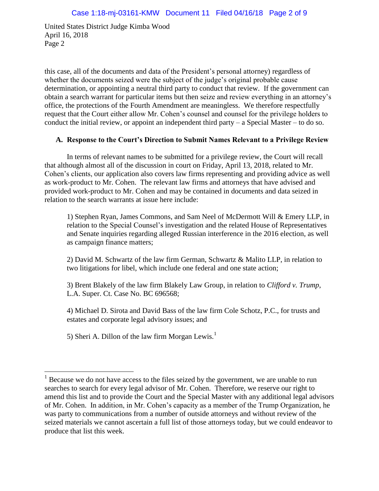this case, all of the documents and data of the President's personal attorney) regardless of whether the documents seized were the subject of the judge's original probable cause determination, or appointing a neutral third party to conduct that review. If the government can obtain a search warrant for particular items but then seize and review everything in an attorney's office, the protections of the Fourth Amendment are meaningless. We therefore respectfully request that the Court either allow Mr. Cohen's counsel and counsel for the privilege holders to conduct the initial review, or appoint an independent third party – a Special Master – to do so.

## **A. Response to the Court's Direction to Submit Names Relevant to a Privilege Review**

In terms of relevant names to be submitted for a privilege review, the Court will recall that although almost all of the discussion in court on Friday, April 13, 2018, related to Mr. Cohen's clients, our application also covers law firms representing and providing advice as well as work-product to Mr. Cohen. The relevant law firms and attorneys that have advised and provided work-product to Mr. Cohen and may be contained in documents and data seized in relation to the search warrants at issue here include:

1) Stephen Ryan, James Commons, and Sam Neel of McDermott Will & Emery LLP, in relation to the Special Counsel's investigation and the related House of Representatives and Senate inquiries regarding alleged Russian interference in the 2016 election, as well as campaign finance matters;

2) David M. Schwartz of the law firm German, Schwartz & Malito LLP, in relation to two litigations for libel, which include one federal and one state action;

3) Brent Blakely of the law firm Blakely Law Group, in relation to *Clifford v. Trump*, L.A. Super. Ct. Case No. BC 696568;

4) Michael D. Sirota and David Bass of the law firm Cole Schotz, P.C., for trusts and estates and corporate legal advisory issues; and

5) Sheri A. Dillon of the law firm Morgan Lewis.<sup>1</sup>

 $\overline{a}$ 

 $<sup>1</sup>$  Because we do not have access to the files seized by the government, we are unable to run</sup> searches to search for every legal advisor of Mr. Cohen. Therefore, we reserve our right to amend this list and to provide the Court and the Special Master with any additional legal advisors of Mr. Cohen. In addition, in Mr. Cohen's capacity as a member of the Trump Organization, he was party to communications from a number of outside attorneys and without review of the seized materials we cannot ascertain a full list of those attorneys today, but we could endeavor to produce that list this week.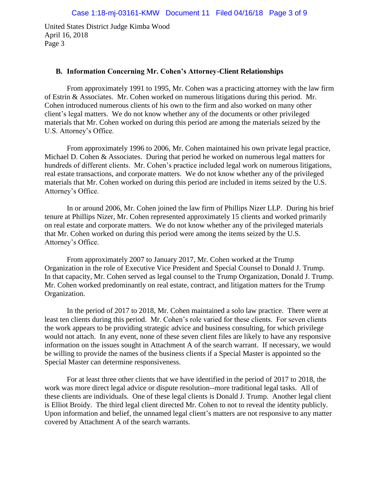#### **B. Information Concerning Mr. Cohen's Attorney-Client Relationships**

From approximately 1991 to 1995, Mr. Cohen was a practicing attorney with the law firm of Estrin & Associates. Mr. Cohen worked on numerous litigations during this period. Mr. Cohen introduced numerous clients of his own to the firm and also worked on many other client's legal matters. We do not know whether any of the documents or other privileged materials that Mr. Cohen worked on during this period are among the materials seized by the U.S. Attorney's Office.

From approximately 1996 to 2006, Mr. Cohen maintained his own private legal practice, Michael D. Cohen & Associates. During that period he worked on numerous legal matters for hundreds of different clients. Mr. Cohen's practice included legal work on numerous litigations, real estate transactions, and corporate matters. We do not know whether any of the privileged materials that Mr. Cohen worked on during this period are included in items seized by the U.S. Attorney's Office.

In or around 2006, Mr. Cohen joined the law firm of Phillips Nizer LLP. During his brief tenure at Phillips Nizer, Mr. Cohen represented approximately 15 clients and worked primarily on real estate and corporate matters. We do not know whether any of the privileged materials that Mr. Cohen worked on during this period were among the items seized by the U.S. Attorney's Office.

From approximately 2007 to January 2017, Mr. Cohen worked at the Trump Organization in the role of Executive Vice President and Special Counsel to Donald J. Trump. In that capacity, Mr. Cohen served as legal counsel to the Trump Organization, Donald J. Trump. Mr. Cohen worked predominantly on real estate, contract, and litigation matters for the Trump Organization.

In the period of 2017 to 2018, Mr. Cohen maintained a solo law practice. There were at least ten clients during this period. Mr. Cohen's role varied for these clients. For seven clients the work appears to be providing strategic advice and business consulting, for which privilege would not attach. In any event, none of these seven client files are likely to have any responsive information on the issues sought in Attachment A of the search warrant. If necessary, we would be willing to provide the names of the business clients if a Special Master is appointed so the Special Master can determine responsiveness.

For at least three other clients that we have identified in the period of 2017 to 2018, the work was more direct legal advice or dispute resolution--more traditional legal tasks. All of these clients are individuals. One of these legal clients is Donald J. Trump. Another legal client is Elliot Broidy. The third legal client directed Mr. Cohen to not to reveal the identity publicly. Upon information and belief, the unnamed legal client's matters are not responsive to any matter covered by Attachment A of the search warrants.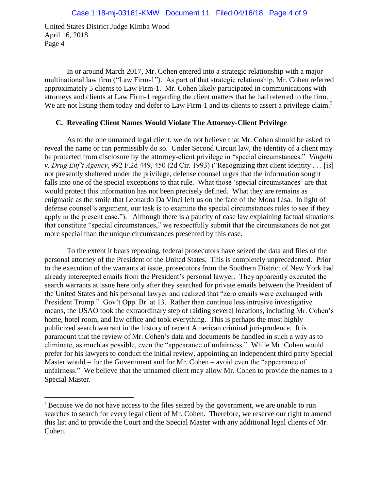$\overline{a}$ 

In or around March 2017, Mr. Cohen entered into a strategic relationship with a major multinational law firm ("Law Firm-1"). As part of that strategic relationship, Mr. Cohen referred approximately 5 clients to Law Firm-1. Mr. Cohen likely participated in communications with attorneys and clients at Law Firm-1 regarding the client matters that he had referred to the firm. We are not listing them today and defer to Law Firm-1 and its clients to assert a privilege claim.<sup>2</sup>

### **C. Revealing Client Names Would Violate The Attorney-Client Privilege**

As to the one unnamed legal client, we do not believe that Mr. Cohen should be asked to reveal the name or can permissibly do so. Under Second Circuit law, the identity of a client may be protected from disclosure by the attorney-client privilege in "special circumstances." *Vingelli v. Drug Enf't Agency*, 992 F.2d 449, 450 (2d Cir. 1993) ("Recognizing that client identity . . . [is] not presently sheltered under the privilege, defense counsel urges that the information sought falls into one of the special exceptions to that rule. What those 'special circumstances' are that would protect this information has not been precisely defined. What they are remains as enigmatic as the smile that Leonardo Da Vinci left us on the face of the Mona Lisa. In light of defense counsel's argument, our task is to examine the special circumstances rules to see if they apply in the present case."). Although there is a paucity of case law explaining factual situations that constitute "special circumstances," we respectfully submit that the circumstances do not get more special than the unique circumstances presented by this case.

To the extent it bears repeating, federal prosecutors have seized the data and files of the personal attorney of the President of the United States. This is completely unprecedented. Prior to the execution of the warrants at issue, prosecutors from the Southern District of New York had already intercepted emails from the President's personal lawyer. They apparently executed the search warrants at issue here only after they searched for private emails between the President of the United States and his personal lawyer and realized that "zero emails were exchanged with President Trump." Gov't Opp. Br. at 13. Rather than continue less intrusive investigative means, the USAO took the extraordinary step of raiding several locations, including Mr. Cohen's home, hotel room, and law office and took everything. This is perhaps the most highly publicized search warrant in the history of recent American criminal jurisprudence. It is paramount that the review of Mr. Cohen's data and documents be handled in such a way as to eliminate, as much as possible, even the "appearance of unfairness." While Mr. Cohen would prefer for his lawyers to conduct the initial review, appointing an independent third party Special Master would – for the Government and for Mr. Cohen – avoid even the "appearance of unfairness." We believe that the unnamed client may allow Mr. Cohen to provide the names to a Special Master.

<sup>&</sup>lt;sup>2</sup> Because we do not have access to the files seized by the government, we are unable to run searches to search for every legal client of Mr. Cohen. Therefore, we reserve our right to amend this list and to provide the Court and the Special Master with any additional legal clients of Mr. Cohen.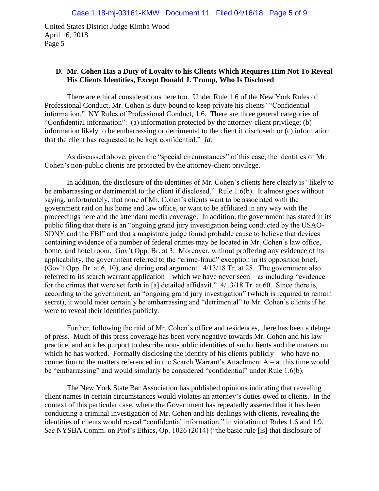## **D. Mr. Cohen Has a Duty of Loyalty to his Clients Which Requires Him Not To Reveal His Clients Identities, Except Donald J. Trump, Who Is Disclosed**

There are ethical considerations here too. Under Rule 1.6 of the New York Rules of Professional Conduct, Mr. Cohen is duty-bound to keep private his clients' "Confidential information." NY Rules of Professional Conduct, 1.6. There are three general categories of "Confidential information": (a) information protected by the attorney-client privilege; (b) information likely to be embarrassing or detrimental to the client if disclosed; or (c) information that the client has requested to be kept confidential." *Id.*

As discussed above, given the "special circumstances" of this case, the identities of Mr. Cohen's non-public clients are protected by the attorney-client privilege.

In addition, the disclosure of the identities of Mr. Cohen's clients here clearly is "likely to be embarrassing or detrimental to the client if disclosed." Rule 1.6(b). It almost goes without saying, unfortunately, that none of Mr. Cohen's clients want to be associated with the government raid on his home and law office, or want to be affiliated in any way with the proceedings here and the attendant media coverage. In addition, the government has stated in its public filing that there is an "ongoing grand jury investigation being conducted by the USAO-SDNY and the FBI" and that a magistrate judge found probable cause to believe that devices containing evidence of a number of federal crimes may be located in Mr. Cohen's law office, home, and hotel room. Gov't Opp. Br. at 3. Moreover, without proffering any evidence of its applicability, the government referred to the "crime-fraud" exception in its opposition brief, (Gov't Opp. Br. at 6, 10), and during oral argument. 4/13/18 Tr. at 28. The government also referred to its search warrant application – which we have never seen – as including "evidence for the crimes that were set forth in [a] detailed affidavit." 4/13/18 Tr. at 60. Since there is, according to the government, an "ongoing grand jury investigation" (which is required to remain secret), it would most certainly be embarrassing and "detrimental" to Mr. Cohen's clients if he were to reveal their identities publicly.

Further, following the raid of Mr. Cohen's office and residences, there has been a deluge of press. Much of this press coverage has been very negative towards Mr. Cohen and his law practice, and articles purport to describe non-public identities of such clients and the matters on which he has worked. Formally disclosing the identity of his clients publicly – who have no connection to the matters referenced in the Search Warrant's Attachment A – at this time would be "embarrassing" and would similarly be considered "confidential" under Rule 1.6(b).

The New York State Bar Association has published opinions indicating that revealing client names in certain circumstances would violates an attorney's duties owed to clients. In the context of this particular case, where the Government has repeatedly asserted that it has been conducting a criminal investigation of Mr. Cohen and his dealings with clients, revealing the identities of clients would reveal "confidential information," in violation of Rules 1.6 and 1.9. *See* NYSBA Comm. on Prof's Ethics, Op. 1026 (2014) ("the basic rule [is] that disclosure of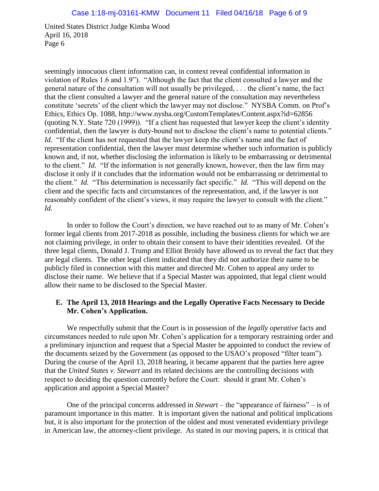seemingly innocuous client information can, in context reveal confidential information in violation of Rules 1.6 and 1.9"). "Although the fact that the client consulted a lawyer and the general nature of the consultation will not usually be privileged, . . . the client's name, the fact that the client consulted a lawyer and the general nature of the consultation may nevertheless constitute 'secrets' of the client which the lawyer may not disclose." NYSBA Comm. on Prof's Ethics, Ethics Op. 1088, http://www.nysba.org/CustomTemplates/Content.aspx?id=62856 (quoting N.Y. State 720 (1999)). "If a client has requested that lawyer keep the client's identity confidential, then the lawyer is duty-bound not to disclose the client's name to potential clients." *Id.* "If the client has not requested that the lawyer keep the client's name and the fact of representation confidential, then the lawyer must determine whether such information is publicly known and, if not, whether disclosing the information is likely to be embarrassing or detrimental to the client." *Id.* "If the information is not generally known, however, then the law firm may disclose it only if it concludes that the information would not be embarrassing or detrimental to the client." *Id.* "This determination is necessarily fact specific." *Id.* "This will depend on the client and the specific facts and circumstances of the representation, and, if the lawyer is not reasonably confident of the client's views, it may require the lawyer to consult with the client." *Id.*

In order to follow the Court's direction, we have reached out to as many of Mr. Cohen's former legal clients from 2017-2018 as possible, including the business clients for which we are not claiming privilege, in order to obtain their consent to have their identities revealed. Of the three legal clients, Donald J. Trump and Elliot Broidy have allowed us to reveal the fact that they are legal clients. The other legal client indicated that they did not authorize their name to be publicly filed in connection with this matter and directed Mr. Cohen to appeal any order to disclose their name. We believe that if a Special Master was appointed, that legal client would allow their name to be disclosed to the Special Master.

## **E. The April 13, 2018 Hearings and the Legally Operative Facts Necessary to Decide Mr. Cohen's Application.**

We respectfully submit that the Court is in possession of the *legally operative* facts and circumstances needed to rule upon Mr. Cohen's application for a temporary restraining order and a preliminary injunction and request that a Special Master be appointed to conduct the review of the documents seized by the Government (as opposed to the USAO's proposed "filter team"). During the course of the April 13, 2018 hearing, it became apparent that the parties here agree that the *United States v. Stewart* and its related decisions are the controlling decisions with respect to deciding the question currently before the Court: should it grant Mr. Cohen's application and appoint a Special Master?

One of the principal concerns addressed in *Stewart* – the "appearance of fairness" – is of paramount importance in this matter. It is important given the national and political implications but, it is also important for the protection of the oldest and most venerated evidentiary privilege in American law, the attorney-client privilege. As stated in our moving papers, it is critical that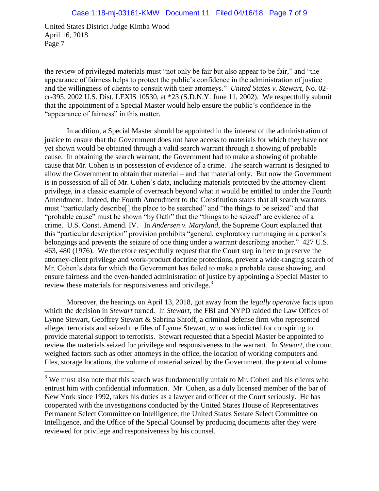$\overline{a}$ 

the review of privileged materials must "not only be fair but also appear to be fair," and "the appearance of fairness helps to protect the public's confidence in the administration of justice and the willingness of clients to consult with their attorneys." *United States v. Stewart*, No. 02 cr-395, 2002 U.S. Dist. LEXIS 10530, at \*23 (S.D.N.Y. June 11, 2002). We respectfully submit that the appointment of a Special Master would help ensure the public's confidence in the "appearance of fairness" in this matter.

In addition, a Special Master should be appointed in the interest of the administration of justice to ensure that the Government does not have access to materials for which they have not yet shown would be obtained through a valid search warrant through a showing of probable cause. In obtaining the search warrant, the Government had to make a showing of probable cause that Mr. Cohen is in possession of evidence of a crime. The search warrant is designed to allow the Government to obtain that material – and that material only. But now the Government is in possession of all of Mr. Cohen's data, including materials protected by the attorney-client privilege, in a classic example of overreach beyond what it would be entitled to under the Fourth Amendment. Indeed, the Fourth Amendment to the Constitution states that all search warrants must "particularly describe[] the place to be searched" and "the things to be seized" and that "probable cause" must be shown "by Oath" that the "things to be seized" are evidence of a crime. U.S. Const. Amend. IV. In *Andersen v. Maryland*, the Supreme Court explained that this "particular description" provision prohibits "general, exploratory rummaging in a person's belongings and prevents the seizure of one thing under a warrant describing another." 427 U.S. 463, 480 (1976). We therefore respectfully request that the Court step in here to preserve the attorney-client privilege and work-product doctrine protections, prevent a wide-ranging search of Mr. Cohen's data for which the Government has failed to make a probable cause showing, and ensure fairness and the even-handed administration of justice by appointing a Special Master to review these materials for responsiveness and privilege.<sup>3</sup>

Moreover, the hearings on April 13, 2018, got away from the *legally operative* facts upon which the decision in *Stewart* turned. In *Stewart*, the FBI and NYPD raided the Law Offices of Lynne Stewart, Geoffrey Stewart & Sabrina Shroff, a criminal defense firm who represented alleged terrorists and seized the files of Lynne Stewart, who was indicted for conspiring to provide material support to terrorists. Stewart requested that a Special Master be appointed to review the materials seized for privilege and responsiveness to the warrant. In *Stewart*, the court weighed factors such as other attorneys in the office, the location of working computers and files, storage locations, the volume of material seized by the Government, the potential volume

 $3$  We must also note that this search was fundamentally unfair to Mr. Cohen and his clients who entrust him with confidential information. Mr. Cohen, as a duly licensed member of the bar of New York since 1992, takes his duties as a lawyer and officer of the Court seriously. He has cooperated with the investigations conducted by the United States House of Representatives Permanent Select Committee on Intelligence, the United States Senate Select Committee on Intelligence, and the Office of the Special Counsel by producing documents after they were reviewed for privilege and responsiveness by his counsel.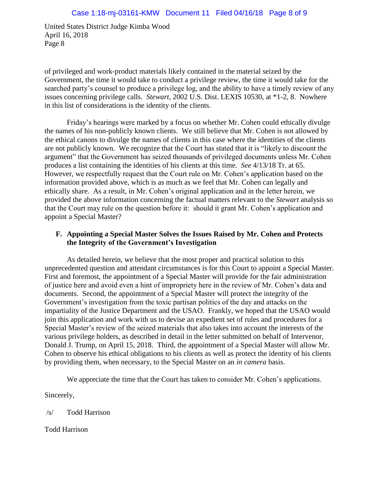of privileged and work-product materials likely contained in the material seized by the Government, the time it would take to conduct a privilege review, the time it would take for the searched party's counsel to produce a privilege log, and the ability to have a timely review of any issues concerning privilege calls. *Stewart*, 2002 U.S. Dist. LEXIS 10530, at \*1-2, 8. Nowhere in this list of considerations is the identity of the clients.

Friday's hearings were marked by a focus on whether Mr. Cohen could ethically divulge the names of his non-publicly known clients. We still believe that Mr. Cohen is not allowed by the ethical canons to divulge the names of clients in this case where the identities of the clients are not publicly known. We recognize that the Court has stated that it is "likely to discount the argument" that the Government has seized thousands of privileged documents unless Mr. Cohen produces a list containing the identities of his clients at this time. *See* 4/13/18 Tr. at 65. However, we respectfully request that the Court rule on Mr. Cohen's application based on the information provided above, which is as much as we feel that Mr. Cohen can legally and ethically share. As a result, in Mr. Cohen's original application and in the letter herein, we provided the above information concerning the factual matters relevant to the *Stewart* analysis so that the Court may rule on the question before it: should it grant Mr. Cohen's application and appoint a Special Master?

## **F. Appointing a Special Master Solves the Issues Raised by Mr. Cohen and Protects the Integrity of the Government's Investigation**

As detailed herein, we believe that the most proper and practical solution to this unprecedented question and attendant circumstances is for this Court to appoint a Special Master. First and foremost, the appointment of a Special Master will provide for the fair administration of justice here and avoid even a hint of impropriety here in the review of Mr. Cohen's data and documents. Second, the appointment of a Special Master will protect the integrity of the Government's investigation from the toxic partisan politics of the day and attacks on the impartiality of the Justice Department and the USAO. Frankly, we hoped that the USAO would join this application and work with us to devise an expedient set of rules and procedures for a Special Master's review of the seized materials that also takes into account the interests of the various privilege holders, as described in detail in the letter submitted on behalf of Intervenor, Donald J. Trump, on April 15, 2018. Third, the appointment of a Special Master will allow Mr. Cohen to observe his ethical obligations to his clients as well as protect the identity of his clients by providing them, when necessary, to the Special Master on an *in camera* basis.

We appreciate the time that the Court has taken to consider Mr. Cohen's applications.

Sincerely,

/s/ Todd Harrison

Todd Harrison